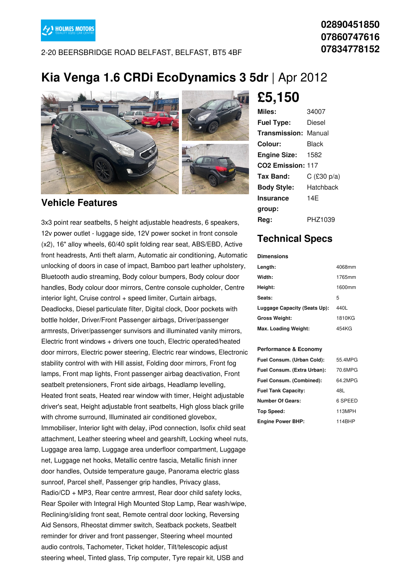

2-20 BEERSBRIDGE ROAD BELFAST, BELFAST, BT5 4BF

### **02890451850 07860747616 07834778152**

## **Kia Venga 1.6 CRDi EcoDynamics 3 5dr** |Apr 2012



#### **Vehicle Features**

3x3 point rear seatbelts, 5 height adjustable headrests, 6 speakers, 12v power outlet - luggage side, 12V power socket in front console (x2), 16" alloy wheels, 60/40 split folding rear seat, ABS/EBD, Active front headrests, Anti theft alarm, Automatic air conditioning, Automatic unlocking of doors in case of impact, Bamboo part leather upholstery, Bluetooth audio streaming, Body colour bumpers, Body colour door handles, Body colour door mirrors, Centre console cupholder, Centre interior light, Cruise control + speed limiter, Curtain airbags, Deadlocks, Diesel particulate filter, Digital clock, Door pockets with bottle holder, Driver/Front Passenger airbags, Driver/passenger armrests, Driver/passenger sunvisors and illuminated vanity mirrors, Electric front windows + drivers one touch, Electric operated/heated door mirrors, Electric power steering, Electric rear windows, Electronic stability control with with Hill assist, Folding door mirrors, Front fog lamps, Front map lights, Front passenger airbag deactivation, Front seatbelt pretensioners, Front side airbags, Headlamp levelling, Heated front seats, Heated rear window with timer, Height adjustable driver's seat, Height adjustable front seatbelts, High gloss black grille with chrome surround, Illuminated air conditioned glovebox, Immobiliser, Interior light with delay, iPod connection, Isofix child seat attachment, Leather steering wheel and gearshift, Locking wheel nuts, Luggage area lamp, Luggage area underfloor compartment, Luggage net, Luggage net hooks, Metallic centre fascia, Metallic finish inner door handles, Outside temperature gauge, Panorama electric glass sunroof, Parcel shelf, Passenger grip handles, Privacy glass, Radio/CD + MP3, Rear centre armrest, Rear door child safety locks, Rear Spoiler with Integral High Mounted Stop Lamp, Rear wash/wipe, Reclining/sliding front seat, Remote central door locking, Reversing Aid Sensors, Rheostat dimmer switch, Seatback pockets, Seatbelt reminder for driver and front passenger, Steering wheel mounted audio controls, Tachometer, Ticket holder, Tilt/telescopic adjust steering wheel, Tinted glass, Trip computer, Tyre repair kit, USB and

## **£5,150**

| Miles:                        | 34007         |
|-------------------------------|---------------|
| <b>Fuel Type:</b>             | Diesel        |
| <b>Transmission: Manual</b>   |               |
| Colour:                       | Black         |
| <b>Engine Size:</b>           | 1582          |
| CO <sub>2</sub> Emission: 117 |               |
| Tax Band:                     | $C$ (£30 p/a) |
| <b>Body Style:</b>            | Hatchback     |
| <b>Insurance</b>              | 14F           |
| group:                        |               |
| Rea:                          | PHZ1039       |

### **Technical Specs**

#### **Dimensions**

| Length:                      | 4068mm |
|------------------------------|--------|
| Width:                       | 1765mm |
| Height:                      | 1600mm |
| Seats:                       | 5      |
| Luggage Capacity (Seats Up): | 440L   |
| <b>Gross Weight:</b>         | 1810KG |
| Max. Loading Weight:         | 454KG  |

#### **Performance & Economy**

| Fuel Consum. (Urban Cold):  | 55.4MPG |
|-----------------------------|---------|
| Fuel Consum. (Extra Urban): | 70.6MPG |
| Fuel Consum. (Combined):    | 64.2MPG |
| <b>Fuel Tank Capacity:</b>  | 48L     |
| <b>Number Of Gears:</b>     | 6 SPEED |
| Top Speed:                  | 113MPH  |
| <b>Engine Power BHP:</b>    | 114BHP  |